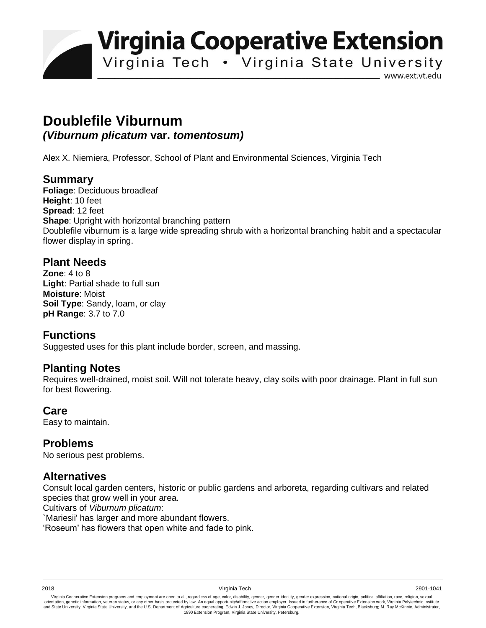**Virginia Cooperative Extension** 

Virginia Tech . Virginia State University

www.ext.vt.edu

# **Doublefile Viburnum** *(Viburnum plicatum* **var.** *tomentosum)*

Alex X. Niemiera, Professor, School of Plant and Environmental Sciences, Virginia Tech

## **Summary**

**Foliage**: Deciduous broadleaf **Height**: 10 feet **Spread**: 12 feet **Shape**: Upright with horizontal branching pattern Doublefile viburnum is a large wide spreading shrub with a horizontal branching habit and a spectacular flower display in spring.

#### **Plant Needs**

**Zone**: 4 to 8 **Light**: Partial shade to full sun **Moisture**: Moist **Soil Type**: Sandy, loam, or clay **pH Range**: 3.7 to 7.0

## **Functions**

Suggested uses for this plant include border, screen, and massing.

#### **Planting Notes**

Requires well-drained, moist soil. Will not tolerate heavy, clay soils with poor drainage. Plant in full sun for best flowering.

#### **Care**

Easy to maintain.

#### **Problems**

No serious pest problems.

## **Alternatives**

Consult local garden centers, historic or public gardens and arboreta, regarding cultivars and related species that grow well in your area.

Cultivars of *Viburnum plicatum*:

`Mariesii' has larger and more abundant flowers.

'Roseum' has flowers that open white and fade to pink.

Virginia Cooperative Extension programs and employment are open to all, regardless of age, color, disability, gender, gender identity, gender expression, national origin, political affiliation, race, religion, sexual وrie 1890 Extension Program, Virginia State University, Petersburg.